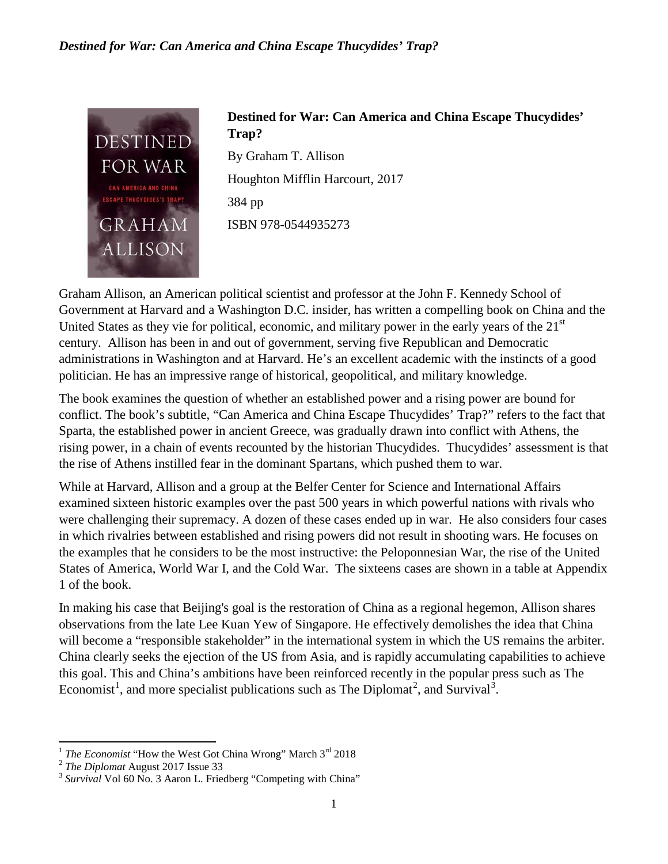## *Destined for War: Can America and China Escape Thucydides' Trap?*



## **Destined for War: Can America and China Escape Thucydides' Trap?**

By Graham T. Allison Houghton Mifflin Harcourt, 2017 384 pp ISBN 978-0544935273

Graham Allison, an American political scientist and professor at the John F. Kennedy School of Government at Harvard and a Washington D.C. insider, has written a compelling book on China and the United States as they vie for political, economic, and military power in the early years of the  $21<sup>st</sup>$ century. Allison has been in and out of government, serving five Republican and Democratic administrations in Washington and at Harvard. He's an excellent academic with the instincts of a good politician. He has an impressive range of historical, geopolitical, and military knowledge.

The book examines the question of whether an established power and a rising power are bound for conflict. The book's subtitle, "Can America and China Escape Thucydides' Trap?" refers to the fact that Sparta, the established power in ancient Greece, was gradually drawn into conflict with Athens, the rising power, in a chain of events recounted by the historian Thucydides. Thucydides' assessment is that the rise of Athens instilled fear in the dominant Spartans, which pushed them to war.

While at Harvard, Allison and a group at the Belfer Center for Science and International Affairs examined sixteen historic examples over the past 500 years in which powerful nations with rivals who were challenging their supremacy. A dozen of these cases ended up in war. He also considers four cases in which rivalries between established and rising powers did not result in shooting wars. He focuses on the examples that he considers to be the most instructive: the Peloponnesian War, the rise of the United States of America, World War I, and the Cold War. The sixteens cases are shown in a table at Appendix 1 of the book.

In making his case that Beijing's goal is the restoration of China as a regional hegemon, Allison shares observations from the late Lee Kuan Yew of Singapore. He effectively demolishes the idea that China will become a "responsible stakeholder" in the international system in which the US remains the arbiter. China clearly seeks the ejection of the US from Asia, and is rapidly accumulating capabilities to achieve this goal. This and China's ambitions have been reinforced recently in the popular press such as The Economist<sup>[1](#page-0-0)</sup>, and more specialist publications such as The Diplomat<sup>[2](#page-0-1)</sup>, and Survival<sup>[3](#page-0-2)</sup>.

<span id="page-0-0"></span><sup>&</sup>lt;sup>1</sup> *The Economist* "How the West Got China Wrong" March 3<sup>rd</sup> 2018<br><sup>2</sup> *The Diplomat* August 2017 Issue 33<br><sup>3</sup> *Survival* Vol 60 No. 3 Aaron L. Friedberg "Competing with China"

<span id="page-0-1"></span>

<span id="page-0-2"></span>